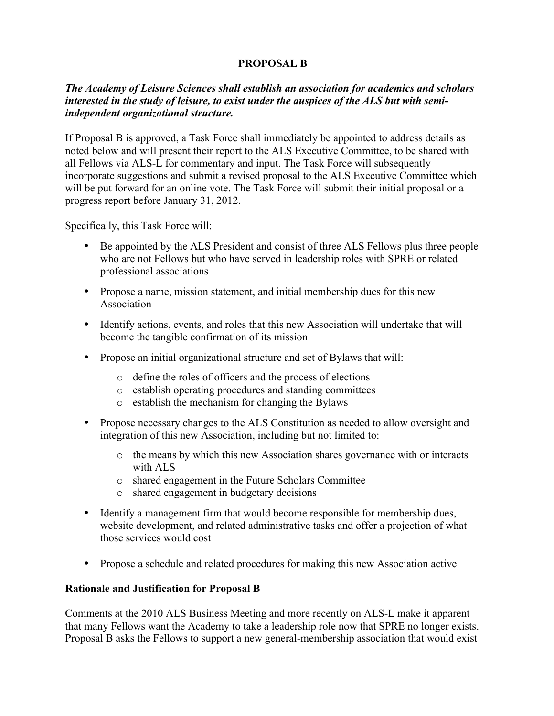# **PROPOSAL B**

## *The Academy of Leisure Sciences shall establish an association for academics and scholars interested in the study of leisure, to exist under the auspices of the ALS but with semiindependent organizational structure.*

If Proposal B is approved, a Task Force shall immediately be appointed to address details as noted below and will present their report to the ALS Executive Committee, to be shared with all Fellows via ALS-L for commentary and input. The Task Force will subsequently incorporate suggestions and submit a revised proposal to the ALS Executive Committee which will be put forward for an online vote. The Task Force will submit their initial proposal or a progress report before January 31, 2012.

Specifically, this Task Force will:

- Be appointed by the ALS President and consist of three ALS Fellows plus three people who are not Fellows but who have served in leadership roles with SPRE or related professional associations
- Propose a name, mission statement, and initial membership dues for this new Association
- Identify actions, events, and roles that this new Association will undertake that will become the tangible confirmation of its mission
- Propose an initial organizational structure and set of Bylaws that will:
	- o define the roles of officers and the process of elections
	- o establish operating procedures and standing committees
	- o establish the mechanism for changing the Bylaws
- Propose necessary changes to the ALS Constitution as needed to allow oversight and integration of this new Association, including but not limited to:
	- o the means by which this new Association shares governance with or interacts with ALS
	- o shared engagement in the Future Scholars Committee
	- o shared engagement in budgetary decisions
- Identify a management firm that would become responsible for membership dues, website development, and related administrative tasks and offer a projection of what those services would cost
- Propose a schedule and related procedures for making this new Association active

### **Rationale and Justification for Proposal B**

Comments at the 2010 ALS Business Meeting and more recently on ALS-L make it apparent that many Fellows want the Academy to take a leadership role now that SPRE no longer exists. Proposal B asks the Fellows to support a new general-membership association that would exist